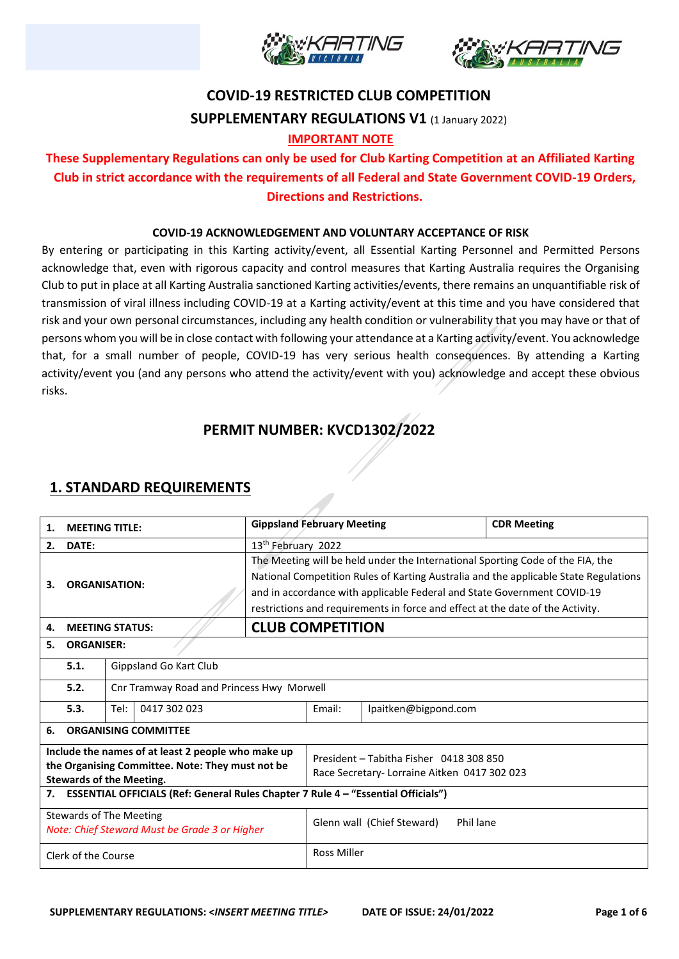



# **COVID-19 RESTRICTED CLUB COMPETITION SUPPLEMENTARY REGULATIONS V1 (1 January 2022)**

#### **IMPORTANT NOTE**

### **These Supplementary Regulations can only be used for Club Karting Competition at an Affiliated Karting Club in strict accordance with the requirements of all Federal and State Government COVID-19 Orders, Directions and Restrictions.**

#### **COVID-19 ACKNOWLEDGEMENT AND VOLUNTARY ACCEPTANCE OF RISK**

By entering or participating in this Karting activity/event, all Essential Karting Personnel and Permitted Persons acknowledge that, even with rigorous capacity and control measures that Karting Australia requires the Organising Club to put in place at all Karting Australia sanctioned Karting activities/events, there remains an unquantifiable risk of transmission of viral illness including COVID-19 at a Karting activity/event at this time and you have considered that risk and your own personal circumstances, including any health condition or vulnerability that you may have or that of persons whom you will be in close contact with following your attendance at a Karting activity/event. You acknowledge that, for a small number of people, COVID-19 has very serious health consequences. By attending a Karting activity/event you (and any persons who attend the activity/event with you) acknowledge and accept these obvious risks.

### **PERMIT NUMBER: KVCD1302/2022**

### **1. STANDARD REQUIREMENTS**

| 1.                                                                                                                                        | <b>MEETING TITLE:</b>                                                             |  |  | <b>Gippsland February Meeting</b>                                                    |                                                                                        |                                         | <b>CDR Meeting</b> |  |
|-------------------------------------------------------------------------------------------------------------------------------------------|-----------------------------------------------------------------------------------|--|--|--------------------------------------------------------------------------------------|----------------------------------------------------------------------------------------|-----------------------------------------|--------------------|--|
| 2.                                                                                                                                        | DATE:                                                                             |  |  |                                                                                      | 13th February 2022                                                                     |                                         |                    |  |
|                                                                                                                                           | <b>ORGANISATION:</b>                                                              |  |  | The Meeting will be held under the International Sporting Code of the FIA, the       |                                                                                        |                                         |                    |  |
|                                                                                                                                           |                                                                                   |  |  | National Competition Rules of Karting Australia and the applicable State Regulations |                                                                                        |                                         |                    |  |
| 3.                                                                                                                                        |                                                                                   |  |  | and in accordance with applicable Federal and State Government COVID-19              |                                                                                        |                                         |                    |  |
|                                                                                                                                           |                                                                                   |  |  | restrictions and requirements in force and effect at the date of the Activity.       |                                                                                        |                                         |                    |  |
| 4.                                                                                                                                        | <b>MEETING STATUS:</b>                                                            |  |  |                                                                                      | <b>CLUB COMPETITION</b>                                                                |                                         |                    |  |
| 5.                                                                                                                                        | <b>ORGANISER:</b>                                                                 |  |  |                                                                                      |                                                                                        |                                         |                    |  |
|                                                                                                                                           | 5.1.<br>Gippsland Go Kart Club                                                    |  |  |                                                                                      |                                                                                        |                                         |                    |  |
|                                                                                                                                           | 5.2.<br>Cnr Tramway Road and Princess Hwy Morwell                                 |  |  |                                                                                      |                                                                                        |                                         |                    |  |
|                                                                                                                                           | 5.3.<br>Tel:<br>0417 302 023                                                      |  |  | Email:                                                                               | lpaitken@bigpond.com                                                                   |                                         |                    |  |
| 6.                                                                                                                                        | <b>ORGANISING COMMITTEE</b>                                                       |  |  |                                                                                      |                                                                                        |                                         |                    |  |
| Include the names of at least 2 people who make up<br>the Organising Committee. Note: They must not be<br><b>Stewards of the Meeting.</b> |                                                                                   |  |  |                                                                                      | President - Tabitha Fisher 0418 308 850<br>Race Secretary-Lorraine Aitken 0417 302 023 |                                         |                    |  |
| 7.                                                                                                                                        | ESSENTIAL OFFICIALS (Ref: General Rules Chapter 7 Rule 4 - "Essential Officials") |  |  |                                                                                      |                                                                                        |                                         |                    |  |
| <b>Stewards of The Meeting</b><br>Note: Chief Steward Must be Grade 3 or Higher                                                           |                                                                                   |  |  |                                                                                      |                                                                                        | Glenn wall (Chief Steward)<br>Phil lane |                    |  |
| Clerk of the Course                                                                                                                       |                                                                                   |  |  |                                                                                      | <b>Ross Miller</b>                                                                     |                                         |                    |  |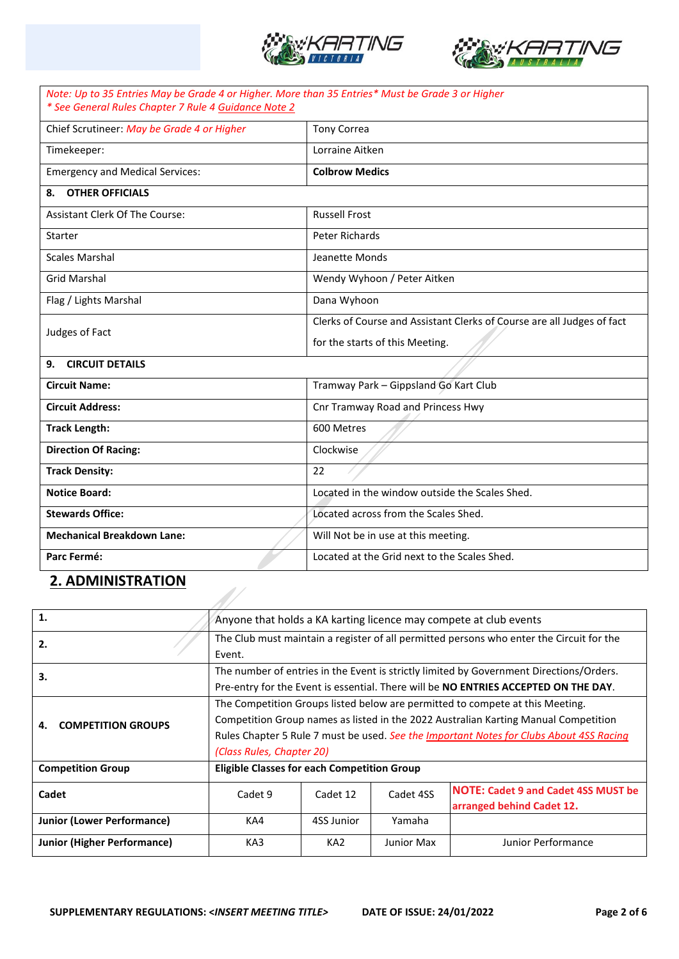



| Note: Up to 35 Entries May be Grade 4 or Higher. More than 35 Entries* Must be Grade 3 or Higher<br>* See General Rules Chapter 7 Rule 4 Guidance Note 2 |                                                                        |  |  |  |
|----------------------------------------------------------------------------------------------------------------------------------------------------------|------------------------------------------------------------------------|--|--|--|
| Chief Scrutineer: May be Grade 4 or Higher                                                                                                               | <b>Tony Correa</b>                                                     |  |  |  |
| Timekeeper:                                                                                                                                              | Lorraine Aitken                                                        |  |  |  |
| <b>Emergency and Medical Services:</b>                                                                                                                   | <b>Colbrow Medics</b>                                                  |  |  |  |
| 8. OTHER OFFICIALS                                                                                                                                       |                                                                        |  |  |  |
| <b>Assistant Clerk Of The Course:</b>                                                                                                                    | <b>Russell Frost</b>                                                   |  |  |  |
| Starter                                                                                                                                                  | Peter Richards                                                         |  |  |  |
| <b>Scales Marshal</b>                                                                                                                                    | Jeanette Monds                                                         |  |  |  |
| <b>Grid Marshal</b>                                                                                                                                      | Wendy Wyhoon / Peter Aitken                                            |  |  |  |
| Flag / Lights Marshal                                                                                                                                    | Dana Wyhoon                                                            |  |  |  |
| Judges of Fact                                                                                                                                           | Clerks of Course and Assistant Clerks of Course are all Judges of fact |  |  |  |
|                                                                                                                                                          | for the starts of this Meeting.                                        |  |  |  |
| 9. CIRCUIT DETAILS                                                                                                                                       |                                                                        |  |  |  |
| <b>Circuit Name:</b>                                                                                                                                     | Tramway Park - Gippsland Go Kart Club                                  |  |  |  |
| <b>Circuit Address:</b>                                                                                                                                  | Cnr Tramway Road and Princess Hwy                                      |  |  |  |
| <b>Track Length:</b>                                                                                                                                     | 600 Metres                                                             |  |  |  |
| <b>Direction Of Racing:</b>                                                                                                                              | Clockwise                                                              |  |  |  |
| <b>Track Density:</b>                                                                                                                                    | 22                                                                     |  |  |  |
| <b>Notice Board:</b>                                                                                                                                     | Located in the window outside the Scales Shed.                         |  |  |  |
| <b>Stewards Office:</b>                                                                                                                                  | Located across from the Scales Shed.                                   |  |  |  |
| <b>Mechanical Breakdown Lane:</b>                                                                                                                        | Will Not be in use at this meeting.                                    |  |  |  |
| Parc Fermé:                                                                                                                                              | Located at the Grid next to the Scales Shed.                           |  |  |  |

# **2. ADMINISTRATION**

| <sup>1</sup>                       | Anyone that holds a KA karting licence may compete at club events                        |                 |            |                                            |  |
|------------------------------------|------------------------------------------------------------------------------------------|-----------------|------------|--------------------------------------------|--|
| 2.                                 | The Club must maintain a register of all permitted persons who enter the Circuit for the |                 |            |                                            |  |
|                                    | Event.                                                                                   |                 |            |                                            |  |
| З.                                 | The number of entries in the Event is strictly limited by Government Directions/Orders.  |                 |            |                                            |  |
|                                    | Pre-entry for the Event is essential. There will be NO ENTRIES ACCEPTED ON THE DAY.      |                 |            |                                            |  |
|                                    | The Competition Groups listed below are permitted to compete at this Meeting.            |                 |            |                                            |  |
| <b>COMPETITION GROUPS</b><br>4.    | Competition Group names as listed in the 2022 Australian Karting Manual Competition      |                 |            |                                            |  |
|                                    | Rules Chapter 5 Rule 7 must be used. See the Important Notes for Clubs About 4SS Racing  |                 |            |                                            |  |
|                                    | (Class Rules, Chapter 20)                                                                |                 |            |                                            |  |
| <b>Competition Group</b>           | <b>Eligible Classes for each Competition Group</b>                                       |                 |            |                                            |  |
| Cadet                              | Cadet 9                                                                                  | Cadet 12        | Cadet 4SS  | <b>NOTE: Cadet 9 and Cadet 4SS MUST be</b> |  |
|                                    |                                                                                          |                 |            | arranged behind Cadet 12.                  |  |
| <b>Junior (Lower Performance)</b>  | KA4                                                                                      | 4SS Junior      | Yamaha     |                                            |  |
| <b>Junior (Higher Performance)</b> | KA3                                                                                      | KA <sub>2</sub> | Junior Max | <b>Junior Performance</b>                  |  |

41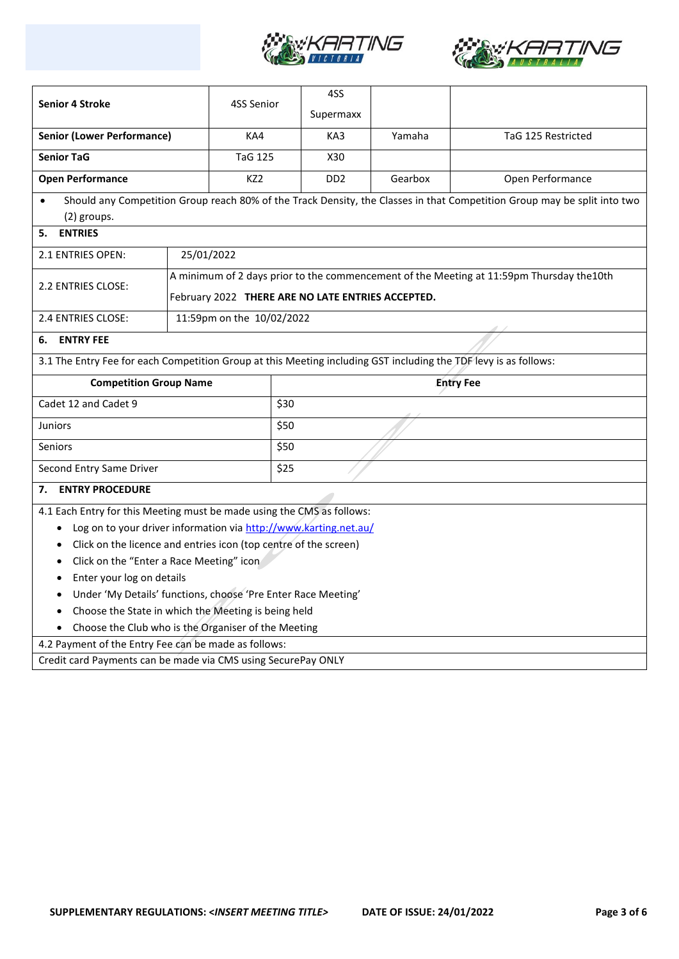



|                                                                                                                  |                                                   |                                                                                          | 4SS              |         |                                                                                                                          |  |  |
|------------------------------------------------------------------------------------------------------------------|---------------------------------------------------|------------------------------------------------------------------------------------------|------------------|---------|--------------------------------------------------------------------------------------------------------------------------|--|--|
| <b>Senior 4 Stroke</b>                                                                                           |                                                   | 4SS Senior                                                                               | Supermaxx        |         |                                                                                                                          |  |  |
| <b>Senior (Lower Performance)</b>                                                                                |                                                   | KA4                                                                                      | KA3              | Yamaha  | TaG 125 Restricted                                                                                                       |  |  |
| <b>Senior TaG</b>                                                                                                |                                                   | <b>TaG 125</b>                                                                           | X30              |         |                                                                                                                          |  |  |
| <b>Open Performance</b>                                                                                          |                                                   | KZ <sub>2</sub>                                                                          | DD <sub>2</sub>  | Gearbox | Open Performance                                                                                                         |  |  |
| $\bullet$                                                                                                        |                                                   |                                                                                          |                  |         | Should any Competition Group reach 80% of the Track Density, the Classes in that Competition Group may be split into two |  |  |
| (2) groups.                                                                                                      |                                                   |                                                                                          |                  |         |                                                                                                                          |  |  |
| <b>ENTRIES</b><br>5.                                                                                             |                                                   |                                                                                          |                  |         |                                                                                                                          |  |  |
| 2.1 ENTRIES OPEN:                                                                                                | 25/01/2022                                        |                                                                                          |                  |         |                                                                                                                          |  |  |
|                                                                                                                  |                                                   | A minimum of 2 days prior to the commencement of the Meeting at 11:59pm Thursday the10th |                  |         |                                                                                                                          |  |  |
| 2.2 ENTRIES CLOSE:                                                                                               | February 2022 THERE ARE NO LATE ENTRIES ACCEPTED. |                                                                                          |                  |         |                                                                                                                          |  |  |
| 2.4 ENTRIES CLOSE:                                                                                               |                                                   | 11:59pm on the 10/02/2022                                                                |                  |         |                                                                                                                          |  |  |
| <b>ENTRY FEE</b><br>6.                                                                                           |                                                   |                                                                                          |                  |         |                                                                                                                          |  |  |
| 3.1 The Entry Fee for each Competition Group at this Meeting including GST including the TDF levy is as follows: |                                                   |                                                                                          |                  |         |                                                                                                                          |  |  |
| <b>Competition Group Name</b>                                                                                    |                                                   |                                                                                          | <b>Entry Fee</b> |         |                                                                                                                          |  |  |
| Cadet 12 and Cadet 9                                                                                             |                                                   |                                                                                          |                  |         |                                                                                                                          |  |  |
|                                                                                                                  |                                                   | \$30                                                                                     |                  |         |                                                                                                                          |  |  |
| <b>Juniors</b>                                                                                                   |                                                   | \$50                                                                                     |                  |         |                                                                                                                          |  |  |
| Seniors                                                                                                          |                                                   | \$50                                                                                     |                  |         |                                                                                                                          |  |  |
| Second Entry Same Driver                                                                                         |                                                   | \$25                                                                                     |                  |         |                                                                                                                          |  |  |
| <b>ENTRY PROCEDURE</b><br>7.                                                                                     |                                                   |                                                                                          |                  |         |                                                                                                                          |  |  |
| 4.1 Each Entry for this Meeting must be made using the CMS as follows:                                           |                                                   |                                                                                          |                  |         |                                                                                                                          |  |  |
| Log on to your driver information via http://www.karting.net.au/<br>$\bullet$                                    |                                                   |                                                                                          |                  |         |                                                                                                                          |  |  |
| Click on the licence and entries icon (top centre of the screen)<br>٠                                            |                                                   |                                                                                          |                  |         |                                                                                                                          |  |  |
| Click on the "Enter a Race Meeting" icon<br>٠                                                                    |                                                   |                                                                                          |                  |         |                                                                                                                          |  |  |
| Enter your log on details                                                                                        |                                                   |                                                                                          |                  |         |                                                                                                                          |  |  |
| Under 'My Details' functions, choose 'Pre Enter Race Meeting'                                                    |                                                   |                                                                                          |                  |         |                                                                                                                          |  |  |
| Choose the State in which the Meeting is being held                                                              |                                                   |                                                                                          |                  |         |                                                                                                                          |  |  |
| Choose the Club who is the Organiser of the Meeting                                                              |                                                   |                                                                                          |                  |         |                                                                                                                          |  |  |
| 4.2 Payment of the Entry Fee can be made as follows:                                                             |                                                   |                                                                                          |                  |         |                                                                                                                          |  |  |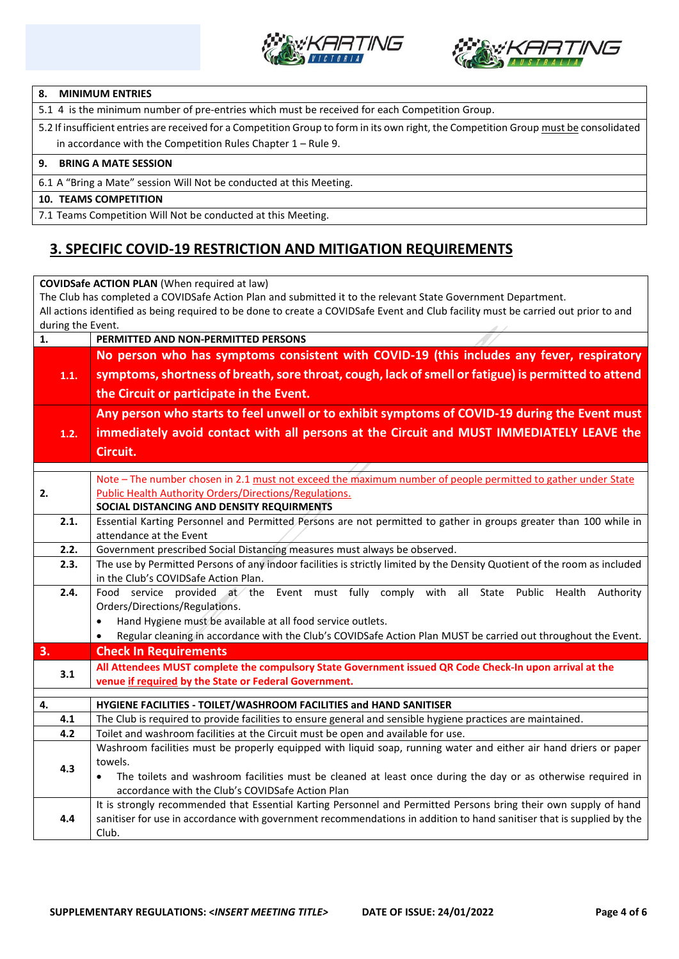



#### **8. MINIMUM ENTRIES**

5.1 4 is the minimum number of pre-entries which must be received for each Competition Group.

5.2 If insufficient entries are received for a Competition Group to form in its own right, the Competition Group must be consolidated in accordance with the Competition Rules Chapter 1 – Rule 9.

#### **9. BRING A MATE SESSION**

6.1 A "Bring a Mate" session Will Not be conducted at this Meeting.

#### **10. TEAMS COMPETITION**

7.1 Teams Competition Will Not be conducted at this Meeting.

### **3. SPECIFIC COVID-19 RESTRICTION AND MITIGATION REQUIREMENTS**

| <b>COVIDSafe ACTION PLAN</b> (When required at law)                                                                                |                                                                                                                                                                                           |  |  |  |  |  |  |
|------------------------------------------------------------------------------------------------------------------------------------|-------------------------------------------------------------------------------------------------------------------------------------------------------------------------------------------|--|--|--|--|--|--|
| The Club has completed a COVIDSafe Action Plan and submitted it to the relevant State Government Department.                       |                                                                                                                                                                                           |  |  |  |  |  |  |
| All actions identified as being required to be done to create a COVIDSafe Event and Club facility must be carried out prior to and |                                                                                                                                                                                           |  |  |  |  |  |  |
| during the Event.                                                                                                                  |                                                                                                                                                                                           |  |  |  |  |  |  |
| 1.                                                                                                                                 | PERMITTED AND NON-PERMITTED PERSONS                                                                                                                                                       |  |  |  |  |  |  |
|                                                                                                                                    | No person who has symptoms consistent with COVID-19 (this includes any fever, respiratory                                                                                                 |  |  |  |  |  |  |
| 1.1.                                                                                                                               | symptoms, shortness of breath, sore throat, cough, lack of smell or fatigue) is permitted to attend                                                                                       |  |  |  |  |  |  |
|                                                                                                                                    |                                                                                                                                                                                           |  |  |  |  |  |  |
|                                                                                                                                    | the Circuit or participate in the Event.                                                                                                                                                  |  |  |  |  |  |  |
|                                                                                                                                    | Any person who starts to feel unwell or to exhibit symptoms of COVID-19 during the Event must<br>immediately avoid contact with all persons at the Circuit and MUST IMMEDIATELY LEAVE the |  |  |  |  |  |  |
| 1.2.                                                                                                                               |                                                                                                                                                                                           |  |  |  |  |  |  |
|                                                                                                                                    | Circuit.                                                                                                                                                                                  |  |  |  |  |  |  |
|                                                                                                                                    |                                                                                                                                                                                           |  |  |  |  |  |  |
|                                                                                                                                    | Note - The number chosen in 2.1 must not exceed the maximum number of people permitted to gather under State                                                                              |  |  |  |  |  |  |
| 2.                                                                                                                                 | <b>Public Health Authority Orders/Directions/Regulations.</b>                                                                                                                             |  |  |  |  |  |  |
|                                                                                                                                    | SOCIAL DISTANCING AND DENSITY REQUIRMENTS                                                                                                                                                 |  |  |  |  |  |  |
| 2.1.                                                                                                                               | Essential Karting Personnel and Permitted Persons are not permitted to gather in groups greater than 100 while in                                                                         |  |  |  |  |  |  |
|                                                                                                                                    | attendance at the Event                                                                                                                                                                   |  |  |  |  |  |  |
| 2.2.                                                                                                                               | Government prescribed Social Distancing measures must always be observed.                                                                                                                 |  |  |  |  |  |  |
| The use by Permitted Persons of any indoor facilities is strictly limited by the Density Quotient of the room as included<br>2.3.  |                                                                                                                                                                                           |  |  |  |  |  |  |
|                                                                                                                                    | in the Club's COVIDSafe Action Plan.                                                                                                                                                      |  |  |  |  |  |  |
| 2.4.                                                                                                                               | Food service provided at the Event must fully comply with all State Public Health<br>Authority                                                                                            |  |  |  |  |  |  |
| Orders/Directions/Regulations.                                                                                                     |                                                                                                                                                                                           |  |  |  |  |  |  |
| Hand Hygiene must be available at all food service outlets.<br>$\bullet$                                                           |                                                                                                                                                                                           |  |  |  |  |  |  |
|                                                                                                                                    | Regular cleaning in accordance with the Club's COVIDSafe Action Plan MUST be carried out throughout the Event.                                                                            |  |  |  |  |  |  |
| 3.                                                                                                                                 | <b>Check In Requirements</b>                                                                                                                                                              |  |  |  |  |  |  |
| 3.1                                                                                                                                | All Attendees MUST complete the compulsory State Government issued QR Code Check-In upon arrival at the                                                                                   |  |  |  |  |  |  |
|                                                                                                                                    | venue if required by the State or Federal Government.                                                                                                                                     |  |  |  |  |  |  |
| 4.                                                                                                                                 | HYGIENE FACILITIES - TOILET/WASHROOM FACILITIES and HAND SANITISER                                                                                                                        |  |  |  |  |  |  |
| 4.1                                                                                                                                | The Club is required to provide facilities to ensure general and sensible hygiene practices are maintained.                                                                               |  |  |  |  |  |  |
| 4.2                                                                                                                                | Toilet and washroom facilities at the Circuit must be open and available for use.                                                                                                         |  |  |  |  |  |  |
|                                                                                                                                    | Washroom facilities must be properly equipped with liquid soap, running water and either air hand driers or paper                                                                         |  |  |  |  |  |  |
|                                                                                                                                    | towels.                                                                                                                                                                                   |  |  |  |  |  |  |
| 4.3                                                                                                                                | The toilets and washroom facilities must be cleaned at least once during the day or as otherwise required in                                                                              |  |  |  |  |  |  |
|                                                                                                                                    | accordance with the Club's COVIDSafe Action Plan                                                                                                                                          |  |  |  |  |  |  |
|                                                                                                                                    | It is strongly recommended that Essential Karting Personnel and Permitted Persons bring their own supply of hand                                                                          |  |  |  |  |  |  |
| 4.4                                                                                                                                | sanitiser for use in accordance with government recommendations in addition to hand sanitiser that is supplied by the                                                                     |  |  |  |  |  |  |
|                                                                                                                                    | Club.                                                                                                                                                                                     |  |  |  |  |  |  |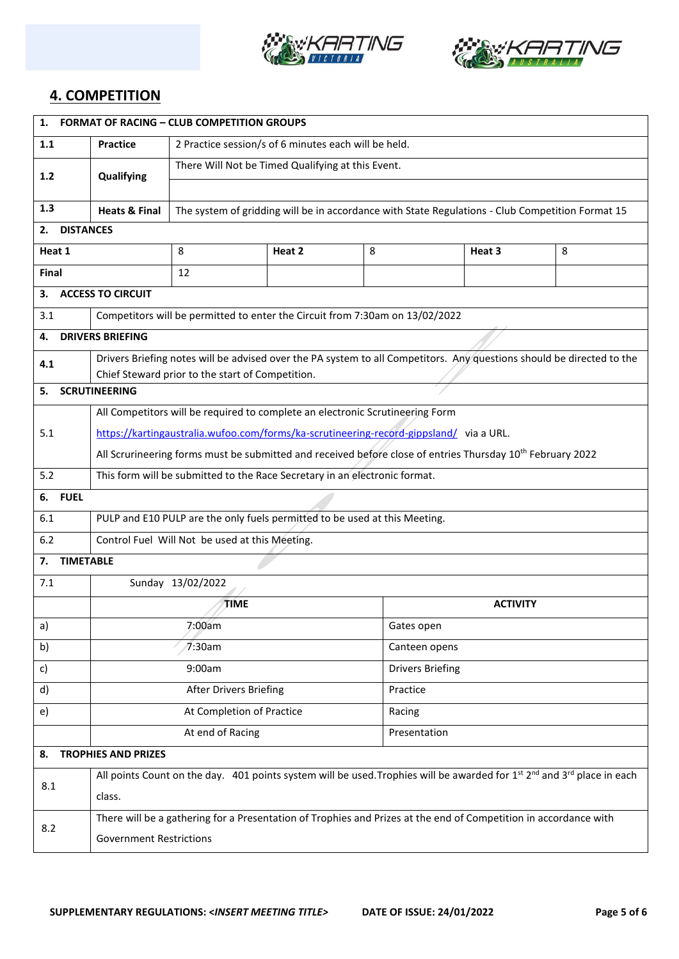



### **4. COMPETITION**

| 1.                                                    | <b>FORMAT OF RACING - CLUB COMPETITION GROUPS</b>                                                                                                                                                                |                                                                                                                                                 |        |                                                                                                                       |        |   |  |  |
|-------------------------------------------------------|------------------------------------------------------------------------------------------------------------------------------------------------------------------------------------------------------------------|-------------------------------------------------------------------------------------------------------------------------------------------------|--------|-----------------------------------------------------------------------------------------------------------------------|--------|---|--|--|
| 1.1                                                   | <b>Practice</b>                                                                                                                                                                                                  | 2 Practice session/s of 6 minutes each will be held.                                                                                            |        |                                                                                                                       |        |   |  |  |
| 1.2                                                   | Qualifying                                                                                                                                                                                                       | There Will Not be Timed Qualifying at this Event.                                                                                               |        |                                                                                                                       |        |   |  |  |
|                                                       |                                                                                                                                                                                                                  |                                                                                                                                                 |        |                                                                                                                       |        |   |  |  |
| 1.3                                                   | <b>Heats &amp; Final</b>                                                                                                                                                                                         | The system of gridding will be in accordance with State Regulations - Club Competition Format 15                                                |        |                                                                                                                       |        |   |  |  |
| <b>DISTANCES</b><br>2.                                |                                                                                                                                                                                                                  |                                                                                                                                                 |        |                                                                                                                       |        |   |  |  |
| Heat 1                                                |                                                                                                                                                                                                                  | 8                                                                                                                                               | Heat 2 | 8                                                                                                                     | Heat 3 | 8 |  |  |
| Final                                                 |                                                                                                                                                                                                                  | 12                                                                                                                                              |        |                                                                                                                       |        |   |  |  |
| з.                                                    | <b>ACCESS TO CIRCUIT</b>                                                                                                                                                                                         |                                                                                                                                                 |        |                                                                                                                       |        |   |  |  |
| 3.1                                                   |                                                                                                                                                                                                                  |                                                                                                                                                 |        | Competitors will be permitted to enter the Circuit from 7:30am on 13/02/2022                                          |        |   |  |  |
| 4.                                                    | <b>DRIVERS BRIEFING</b>                                                                                                                                                                                          |                                                                                                                                                 |        |                                                                                                                       |        |   |  |  |
| 4.1                                                   |                                                                                                                                                                                                                  |                                                                                                                                                 |        | Drivers Briefing notes will be advised over the PA system to all Competitors. Any questions should be directed to the |        |   |  |  |
| 5.                                                    | <b>SCRUTINEERING</b>                                                                                                                                                                                             | Chief Steward prior to the start of Competition.                                                                                                |        |                                                                                                                       |        |   |  |  |
|                                                       |                                                                                                                                                                                                                  |                                                                                                                                                 |        |                                                                                                                       |        |   |  |  |
| 5.1                                                   | All Competitors will be required to complete an electronic Scrutineering Form                                                                                                                                    |                                                                                                                                                 |        |                                                                                                                       |        |   |  |  |
|                                                       | https://kartingaustralia.wufoo.com/forms/ka-scrutineering-record-gippsland/ via a URL.<br>All Scrurineering forms must be submitted and received before close of entries Thursday 10 <sup>th</sup> February 2022 |                                                                                                                                                 |        |                                                                                                                       |        |   |  |  |
| 5.2                                                   | This form will be submitted to the Race Secretary in an electronic format.                                                                                                                                       |                                                                                                                                                 |        |                                                                                                                       |        |   |  |  |
| 6. FUEL                                               |                                                                                                                                                                                                                  |                                                                                                                                                 |        |                                                                                                                       |        |   |  |  |
| 6.1                                                   |                                                                                                                                                                                                                  |                                                                                                                                                 |        |                                                                                                                       |        |   |  |  |
|                                                       | PULP and E10 PULP are the only fuels permitted to be used at this Meeting.                                                                                                                                       |                                                                                                                                                 |        |                                                                                                                       |        |   |  |  |
| Control Fuel Will Not be used at this Meeting.<br>6.2 |                                                                                                                                                                                                                  |                                                                                                                                                 |        |                                                                                                                       |        |   |  |  |
| 7.1                                                   | <b>TIMETABLE</b><br>7.                                                                                                                                                                                           |                                                                                                                                                 |        |                                                                                                                       |        |   |  |  |
|                                                       | Sunday 13/02/2022                                                                                                                                                                                                |                                                                                                                                                 |        |                                                                                                                       |        |   |  |  |
|                                                       | <b>TIME</b><br><b>ACTIVITY</b>                                                                                                                                                                                   |                                                                                                                                                 |        |                                                                                                                       |        |   |  |  |
| a)                                                    | 7:00am<br>Gates open                                                                                                                                                                                             |                                                                                                                                                 |        |                                                                                                                       |        |   |  |  |
| b)                                                    | 7:30am<br>Canteen opens                                                                                                                                                                                          |                                                                                                                                                 |        |                                                                                                                       |        |   |  |  |
| c)                                                    | 9:00am<br><b>Drivers Briefing</b>                                                                                                                                                                                |                                                                                                                                                 |        |                                                                                                                       |        |   |  |  |
| d)                                                    | <b>After Drivers Briefing</b><br>Practice                                                                                                                                                                        |                                                                                                                                                 |        |                                                                                                                       |        |   |  |  |
| e)                                                    | At Completion of Practice                                                                                                                                                                                        |                                                                                                                                                 |        | Racing                                                                                                                |        |   |  |  |
|                                                       |                                                                                                                                                                                                                  | At end of Racing                                                                                                                                |        | Presentation                                                                                                          |        |   |  |  |
|                                                       | <b>TROPHIES AND PRIZES</b><br>8.                                                                                                                                                                                 |                                                                                                                                                 |        |                                                                                                                       |        |   |  |  |
| 8.1                                                   |                                                                                                                                                                                                                  | All points Count on the day. 401 points system will be used. Trophies will be awarded for 1st 2 <sup>nd</sup> and 3 <sup>rd</sup> place in each |        |                                                                                                                       |        |   |  |  |
|                                                       | class.                                                                                                                                                                                                           |                                                                                                                                                 |        |                                                                                                                       |        |   |  |  |
| 8.2                                                   | There will be a gathering for a Presentation of Trophies and Prizes at the end of Competition in accordance with                                                                                                 |                                                                                                                                                 |        |                                                                                                                       |        |   |  |  |
|                                                       | <b>Government Restrictions</b>                                                                                                                                                                                   |                                                                                                                                                 |        |                                                                                                                       |        |   |  |  |